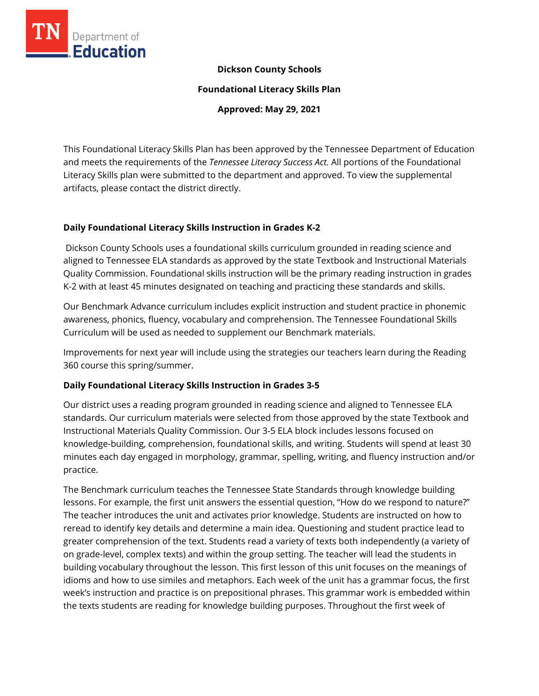

## **Dickson County Schools**

**Foundational Literacy Skills Plan**

**Approved: May 29, 2021**

This Foundational Literacy Skills Plan has been approved by the Tennessee Department of Education and meets the requirements of the *Tennessee Literacy Success Act.* All portions of the Foundational Literacy Skills plan were submitted to the department and approved. To view the supplemental artifacts, please contact the district directly.

## **Daily Foundational Literacy Skills Instruction in Grades K-2**

Dickson County Schools uses a foundational skills curriculum grounded in reading science and aligned to Tennessee ELA standards as approved by the state Textbook and Instructional Materials Quality Commission. Foundational skills instruction will be the primary reading instruction in grades K-2 with at least 45 minutes designated on teaching and practicing these standards and skills.

Our Benchmark Advance curriculum includes explicit instruction and student practice in phonemic awareness, phonics, fluency, vocabulary and comprehension. The Tennessee Foundational Skills Curriculum will be used as needed to supplement our Benchmark materials.

Improvements for next year will include using the strategies our teachers learn during the Reading 360 course this spring/summer.

## **Daily Foundational Literacy Skills Instruction in Grades 3-5**

Our district uses a reading program grounded in reading science and aligned to Tennessee ELA standards. Our curriculum materials were selected from those approved by the state Textbook and Instructional Materials Quality Commission. Our 3-5 ELA block includes lessons focused on knowledge-building, comprehension, foundational skills, and writing. Students will spend at least 30 minutes each day engaged in morphology, grammar, spelling, writing, and fluency instruction and/or practice.

The Benchmark curriculum teaches the Tennessee State Standards through knowledge building lessons. For example, the first unit answers the essential question, "How do we respond to nature?" The teacher introduces the unit and activates prior knowledge. Students are instructed on how to reread to identify key details and determine a main idea. Questioning and student practice lead to greater comprehension of the text. Students read a variety of texts both independently (a variety of on grade-level, complex texts) and within the group setting. The teacher will lead the students in building vocabulary throughout the lesson. This first lesson of this unit focuses on the meanings of idioms and how to use similes and metaphors. Each week of the unit has a grammar focus, the first week's instruction and practice is on prepositional phrases. This grammar work is embedded within the texts students are reading for knowledge building purposes. Throughout the first week of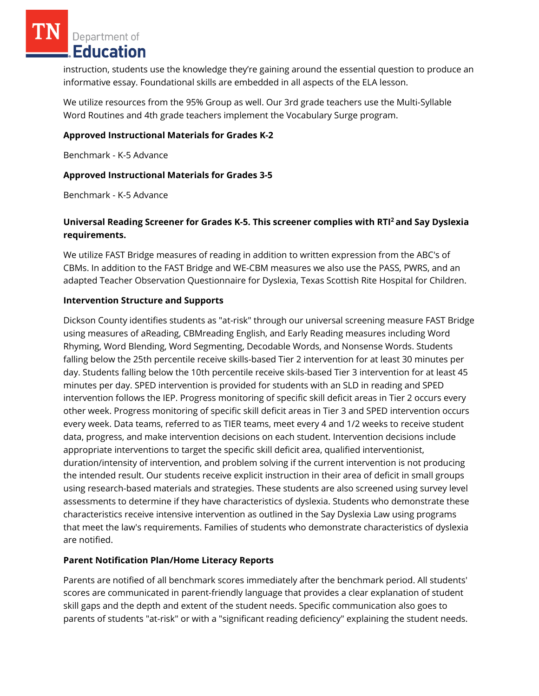Department of Education

instruction, students use the knowledge they're gaining around the essential question to produce an informative essay. Foundational skills are embedded in all aspects of the ELA lesson.

We utilize resources from the 95% Group as well. Our 3rd grade teachers use the Multi-Syllable Word Routines and 4th grade teachers implement the Vocabulary Surge program.

## **Approved Instructional Materials for Grades K-2**

Benchmark - K-5 Advance

#### **Approved Instructional Materials for Grades 3-5**

Benchmark - K-5 Advance

## **Universal Reading Screener for Grades K-5. This screener complies with RTI<sup>2</sup>and Say Dyslexia requirements.**

We utilize FAST Bridge measures of reading in addition to written expression from the ABC's of CBMs. In addition to the FAST Bridge and WE-CBM measures we also use the PASS, PWRS, and an adapted Teacher Observation Questionnaire for Dyslexia, Texas Scottish Rite Hospital for Children.

#### **Intervention Structure and Supports**

Dickson County identifies students as "at-risk" through our universal screening measure FAST Bridge using measures of aReading, CBMreading English, and Early Reading measures including Word Rhyming, Word Blending, Word Segmenting, Decodable Words, and Nonsense Words. Students falling below the 25th percentile receive skills-based Tier 2 intervention for at least 30 minutes per day. Students falling below the 10th percentile receive skils-based Tier 3 intervention for at least 45 minutes per day. SPED intervention is provided for students with an SLD in reading and SPED intervention follows the IEP. Progress monitoring of specific skill deficit areas in Tier 2 occurs every other week. Progress monitoring of specific skill deficit areas in Tier 3 and SPED intervention occurs every week. Data teams, referred to as TIER teams, meet every 4 and 1/2 weeks to receive student data, progress, and make intervention decisions on each student. Intervention decisions include appropriate interventions to target the specific skill deficit area, qualified interventionist, duration/intensity of intervention, and problem solving if the current intervention is not producing the intended result. Our students receive explicit instruction in their area of deficit in small groups using research-based materials and strategies. These students are also screened using survey level assessments to determine if they have characteristics of dyslexia. Students who demonstrate these characteristics receive intensive intervention as outlined in the Say Dyslexia Law using programs that meet the law's requirements. Families of students who demonstrate characteristics of dyslexia are notified.

## **Parent Notification Plan/Home Literacy Reports**

Parents are notified of all benchmark scores immediately after the benchmark period. All students' scores are communicated in parent-friendly language that provides a clear explanation of student skill gaps and the depth and extent of the student needs. Specific communication also goes to parents of students "at-risk" or with a "significant reading deficiency" explaining the student needs.